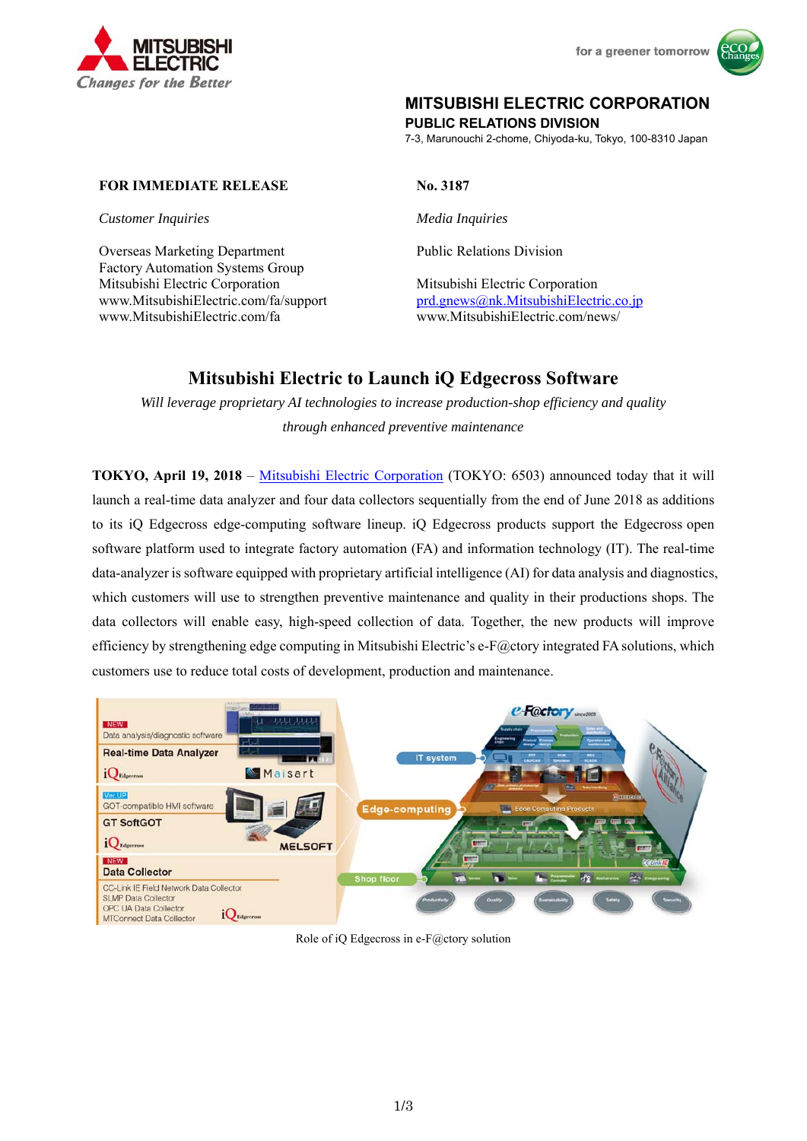



# **MITSUBISHI ELECTRIC CORPORATION**

**PUBLIC RELATIONS DIVISION** 

7-3, Marunouchi 2-chome, Chiyoda-ku, Tokyo, 100-8310 Japan

## **FOR IMMEDIATE RELEASE No. 3187**

*Customer Inquiries Media Inquiries* 

Overseas Marketing Department Factory Automation Systems Group Mitsubishi Electric Corporation Mitsubishi Electric Corporation www.MitsubishiElectric.com/fa/support prd.gnews@nk.MitsubishiElectric.co.jp www.MitsubishiElectric.com/fa www.MitsubishiElectric.com/news/

Public Relations Division

# **Mitsubishi Electric to Launch iQ Edgecross Software**

*Will leverage proprietary AI technologies to increase production-shop efficiency and quality through enhanced preventive maintenance* 

**TOKYO, April 19, 2018** – Mitsubishi Electric Corporation (TOKYO: 6503) announced today that it will launch a real-time data analyzer and four data collectors sequentially from the end of June 2018 as additions to its iQ Edgecross edge-computing software lineup. iQ Edgecross products support the Edgecross open software platform used to integrate factory automation (FA) and information technology (IT). The real-time data-analyzer is software equipped with proprietary artificial intelligence (AI) for data analysis and diagnostics, which customers will use to strengthen preventive maintenance and quality in their productions shops. The data collectors will enable easy, high-speed collection of data. Together, the new products will improve efficiency by strengthening edge computing in Mitsubishi Electric's e-F@ctory integrated FA solutions, which customers use to reduce total costs of development, production and maintenance.



Role of iQ Edgecross in e-F@ctory solution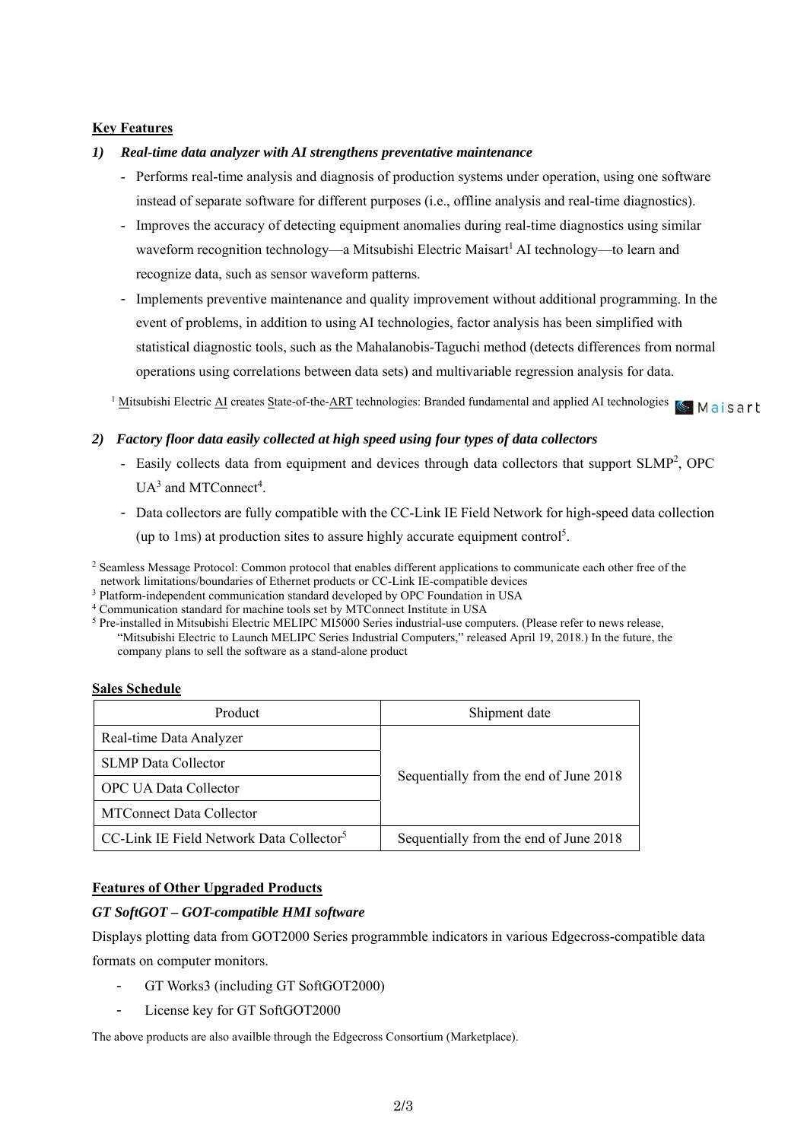## **Key Features**

## *1) Real-time data analyzer with AI strengthens preventative maintenance*

- Performs real-time analysis and diagnosis of production systems under operation, using one software instead of separate software for different purposes (i.e., offline analysis and real-time diagnostics).
- Improves the accuracy of detecting equipment anomalies during real-time diagnostics using similar waveform recognition technology—a Mitsubishi Electric Maisart<sup>1</sup> AI technology—to learn and recognize data, such as sensor waveform patterns.
- Implements preventive maintenance and quality improvement without additional programming. In the event of problems, in addition to using AI technologies, factor analysis has been simplified with statistical diagnostic tools, such as the Mahalanobis-Taguchi method (detects differences from normal operations using correlations between data sets) and multivariable regression analysis for data.

<sup>1</sup> Mitsubishi Electric AI creates State-of-the-ART technologies: Branded fundamental and applied AI technologies <a>
Maisert<br/>
Maisert

## *2) Factory floor data easily collected at high speed using four types of data collectors*

- Easily collects data from equipment and devices through data collectors that support SLMP<sup>2</sup>, OPC  $UA<sup>3</sup>$  and MTConnect<sup>4</sup>.
- Data collectors are fully compatible with the CC-Link IE Field Network for high-speed data collection (up to 1ms) at production sites to assure highly accurate equipment control<sup>5</sup>.

"Mitsubishi Electric to Launch MELIPC Series Industrial Computers," released April 19, 2018.) In the future, the company plans to sell the software as a stand-alone product

## **Sales Schedule**

| Product                                              | Shipment date                          |
|------------------------------------------------------|----------------------------------------|
| Real-time Data Analyzer                              | Sequentially from the end of June 2018 |
| <b>SLMP</b> Data Collector                           |                                        |
| <b>OPC UA Data Collector</b>                         |                                        |
| <b>MTConnect Data Collector</b>                      |                                        |
| CC-Link IE Field Network Data Collector <sup>5</sup> | Sequentially from the end of June 2018 |

## **Features of Other Upgraded Products**

## *GT SoftGOT – GOT-compatible HMI software*

Displays plotting data from GOT2000 Series programmble indicators in various Edgecross-compatible data formats on computer monitors.

- GT Works3 (including GT SoftGOT2000)
- License key for GT SoftGOT2000

The above products are also availble through the Edgecross Consortium (Marketplace).

<sup>2</sup> Seamless Message Protocol: Common protocol that enables different applications to communicate each other free of the network limitations/boundaries of Ethernet products or CC-Link IE-compatible devices<br>
<sup>3</sup> Platform-independent communication standard developed by OPC Foundation in USA<br>
<sup>4</sup> Communication standard for machine tools set by